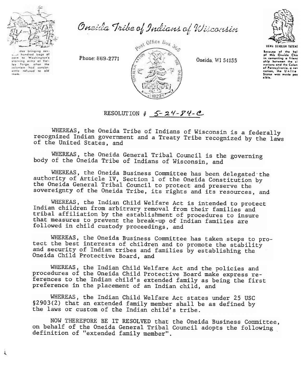

Oneida Tribe of Indians of Wisconsin



das bringing sa hundred bogs of  $_{entn}$ to Washington's storving army at Vol. lay Forge, after the<br>colonists had consist<br>ently refused to ald

.. ,



1..ca",. 01 th. h.1 of thl. On.ido Chi, in cementing 0 f.i.nc .hip botw..n th. .i nations and the Colon<br>of Pennsylvania, a nex nation, the Unite<br>Stotes was mode po<br>sible.

## RESOLUTION  $\sharp$  5 - 24 - 74 -  $\mathcal{C}$

WHEREAS, the Oneida Tribe of Indians of Wisconsin is a federally recognized Indian government and a Treaty Tribe recognized by the laws of the United States, and

WHEREAS, the Oneida General Tribal Council is the governing body of the Oneida Tribe of Indians of Wisconsin, and

WHEREAS, the Oneida Business Committee has been delegated the authority of Article IV, Section 1 of the Oneida Constitution by the Oneida General Tribal Council to protect and preserve the sovereignty of the Oneida Tribe, its rights and its resources, and

WHEREAS, the Indian Child Welfare Act is intended to protect Indian children from arbitrary removal from their families and tribal affiliation by the establishment of procedures to insure that measures to prevent the break-up of Indian families are followed in child custody proceedings, and

WHEREAS, the Oneida Business Committee has taken steps to protect the best interests of children and to promote the stability and security of Indian tribes and families by establishing the Oneida Child Protective Board, and

WHEREAS, the Indian Child Welfare Act and the policies and procedures of the Oneida Child Protective Board make express references to the Indian child's extended family as being the first preference in the placement of an Indian child, and

WHEREAS, the Indian Child Welfare Act states under 25 USC §2903(2) that an extended family member shall be as defined by the laws or custom of the Indian child's tribe.

NOW THEREFORE BE IT RESOLVED that the Oneida Business Committee, on behalf of the Oneida General Tribal Council adopts the following definition of "extended family member".